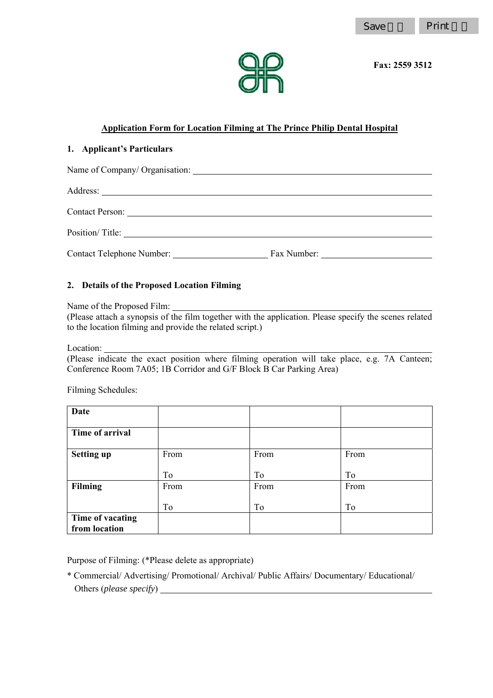#### **Application Form for Location Filming at The Prince Philip Dental Hospital**

#### **1. Applicant's Particulars**

| Contact Telephone Number: | Fax Number: |  |
|---------------------------|-------------|--|

#### **2. Details of the Proposed Location Filming**

Name of the Proposed Film:

(Please attach a synopsis of the film together with the application. Please specify the scenes related to the location filming and provide the related script.)

Location:

(Please indicate the exact position where filming operation will take place, e.g. 7A Canteen; Conference Room 7A05; 1B Corridor and G/F Block B Car Parking Area)

Filming Schedules:

| <b>Date</b>                       |      |      |      |
|-----------------------------------|------|------|------|
| Time of arrival                   |      |      |      |
| <b>Setting up</b>                 | From | From | From |
|                                   | To   | To   | To   |
| Filming                           | From | From | From |
|                                   | To   | To   | To   |
| Time of vacating<br>from location |      |      |      |

Purpose of Filming: (\*Please delete as appropriate)

\* Commercial/ Advertising/ Promotional/ Archival/ Public Affairs/ Documentary/ Educational/ Others (*please specify*)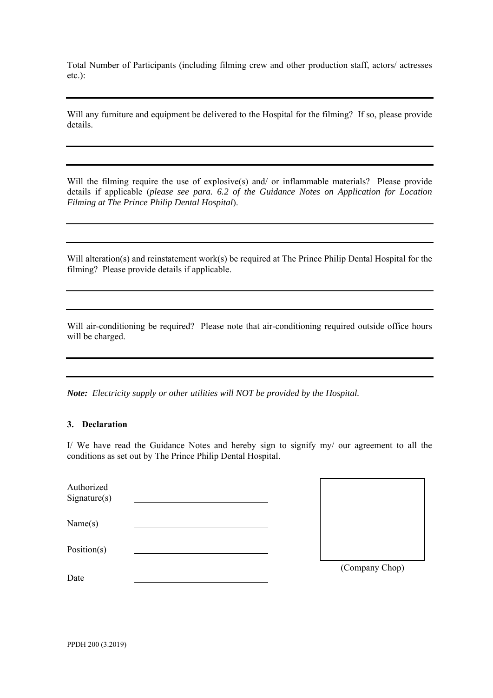Total Number of Participants (including filming crew and other production staff, actors/ actresses etc.):

Will any furniture and equipment be delivered to the Hospital for the filming? If so, please provide details.

Will the filming require the use of explosive(s) and/ or inflammable materials? Please provide details if applicable (*please see para. 6.2 of the Guidance Notes on Application for Location Filming at The Prince Philip Dental Hospital*).

Will alteration(s) and reinstatement work(s) be required at The Prince Philip Dental Hospital for the filming? Please provide details if applicable.

Will air-conditioning be required? Please note that air-conditioning required outside office hours will be charged.

*Note: Electricity supply or other utilities will NOT be provided by the Hospital.* 

#### **3. Declaration**

I/ We have read the Guidance Notes and hereby sign to signify my/ our agreement to all the conditions as set out by The Prince Philip Dental Hospital.

| Authorized<br>Sigma(s) |  |                |
|------------------------|--|----------------|
| Name(s)                |  |                |
| Position(s)            |  |                |
| Date                   |  | (Company Chop) |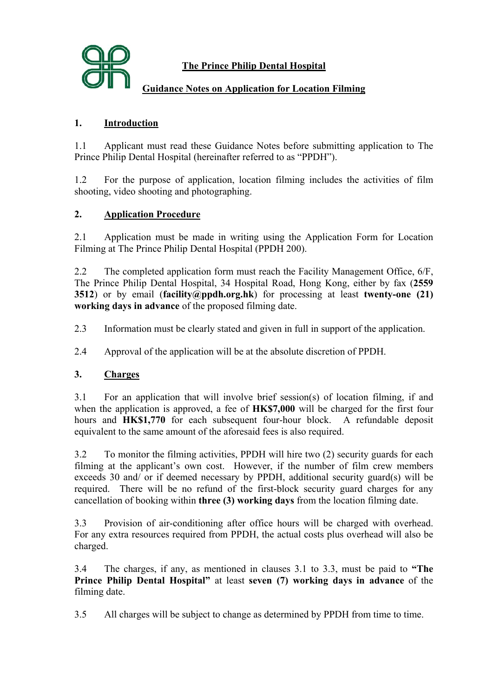

# **The Prince Philip Dental Hospital**

# **Guidance Notes on Application for Location Filming**

# **1. Introduction**

1.1 Applicant must read these Guidance Notes before submitting application to The Prince Philip Dental Hospital (hereinafter referred to as "PPDH").

1.2 For the purpose of application, location filming includes the activities of film shooting, video shooting and photographing.

### **2. Application Procedure**

2.1 Application must be made in writing using the Application Form for Location Filming at The Prince Philip Dental Hospital (PPDH 200).

2.2 The completed application form must reach the Facility Management Office, 6/F, The Prince Philip Dental Hospital, 34 Hospital Road, Hong Kong, either by fax (**2559 3512**) or by email (**facility@ppdh.org.hk**) for processing at least **twenty-one (21) working days in advance** of the proposed filming date.

2.3 Information must be clearly stated and given in full in support of the application.

2.4 Approval of the application will be at the absolute discretion of PPDH.

# **3. Charges**

3.1 For an application that will involve brief session(s) of location filming, if and when the application is approved, a fee of **HK\$7,000** will be charged for the first four hours and **HK\$1,770** for each subsequent four-hour block. A refundable deposit equivalent to the same amount of the aforesaid fees is also required.

3.2 To monitor the filming activities, PPDH will hire two (2) security guards for each filming at the applicant's own cost. However, if the number of film crew members exceeds 30 and/ or if deemed necessary by PPDH, additional security guard(s) will be required. There will be no refund of the first-block security guard charges for any cancellation of booking within **three (3) working days** from the location filming date.

3.3 Provision of air-conditioning after office hours will be charged with overhead. For any extra resources required from PPDH, the actual costs plus overhead will also be charged.

3.4 The charges, if any, as mentioned in clauses 3.1 to 3.3, must be paid to **"The Prince Philip Dental Hospital"** at least **seven (7) working days in advance** of the filming date.

3.5 All charges will be subject to change as determined by PPDH from time to time.